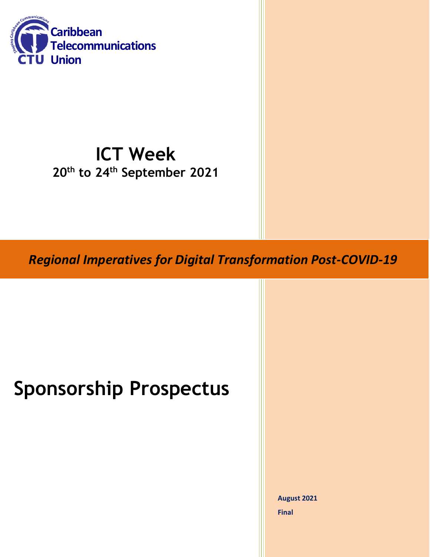

## **ICT Week 20 th to 24th September 2021**

*Regional Imperatives for Digital Transformation Post-COVID-19*

# **Sponsorship Prospectus**

**August 2021 Final**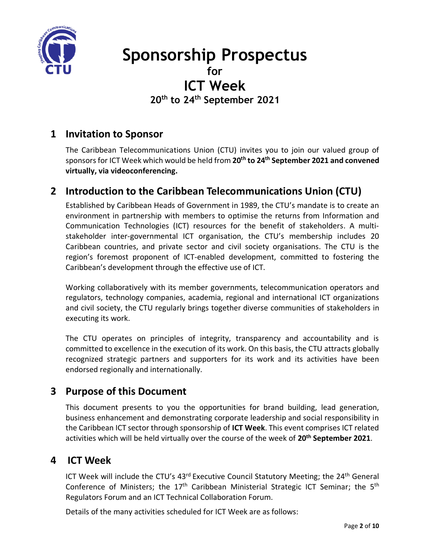

## **Sponsorship Prospectus for ICT Week**

**20 th to 24th September 2021**

## **1 Invitation to Sponsor**

The Caribbean Telecommunications Union (CTU) invites you to join our valued group of sponsors for ICT Week which would be held from **20 th to 24th September 2021 and convened virtually, via videoconferencing.**

## **2 Introduction to the Caribbean Telecommunications Union (CTU)**

Established by Caribbean Heads of Government in 1989, the CTU's mandate is to create an environment in partnership with members to optimise the returns from Information and Communication Technologies (ICT) resources for the benefit of stakeholders. A multistakeholder inter-governmental ICT organisation, the CTU's membership includes 20 Caribbean countries, and private sector and civil society organisations. The CTU is the region's foremost proponent of ICT-enabled development, committed to fostering the Caribbean's development through the effective use of ICT.

Working collaboratively with its member governments, telecommunication operators and regulators, technology companies, academia, regional and international ICT organizations and civil society, the CTU regularly brings together diverse communities of stakeholders in executing its work.

The CTU operates on principles of integrity, transparency and accountability and is committed to excellence in the execution of its work. On this basis, the CTU attracts globally recognized strategic partners and supporters for its work and its activities have been endorsed regionally and internationally.

## **3 Purpose of this Document**

This document presents to you the opportunities for brand building, lead generation, business enhancement and demonstrating corporate leadership and social responsibility in the Caribbean ICT sector through sponsorship of **ICT Week**. This event comprises ICT related activities which will be held virtually over the course of the week of **20 th September 2021**.

### **4 ICT Week**

ICT Week will include the CTU's 43<sup>rd</sup> Executive Council Statutory Meeting; the 24<sup>th</sup> General Conference of Ministers; the 17<sup>th</sup> Caribbean Ministerial Strategic ICT Seminar; the 5<sup>th</sup> Regulators Forum and an ICT Technical Collaboration Forum.

Details of the many activities scheduled for ICT Week are as follows: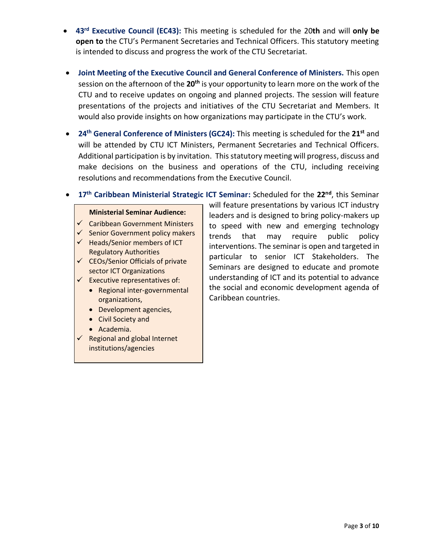- **43rd Executive Council (EC43):** This meeting is scheduled for the 20**th** and will **only be open to** the CTU's Permanent Secretaries and Technical Officers. This statutory meeting is intended to discuss and progress the work of the CTU Secretariat.
- **Joint Meeting of the Executive Council and General Conference of Ministers.** This open session on the afternoon of the **20th** is your opportunity to learn more on the work of the CTU and to receive updates on ongoing and planned projects. The session will feature presentations of the projects and initiatives of the CTU Secretariat and Members. It would also provide insights on how organizations may participate in the CTU's work.
- **24<sup>th</sup> General Conference of Ministers (GC24):** This meeting is scheduled for the 21<sup>st</sup> and will be attended by CTU ICT Ministers, Permanent Secretaries and Technical Officers. Additional participation is by invitation. This statutory meeting will progress, discuss and make decisions on the business and operations of the CTU, including receiving resolutions and recommendations from the Executive Council.
- **•** 17<sup>th</sup> Caribbean Ministerial Strategic ICT Seminar: Scheduled for the 22<sup>nd</sup>, this Seminar

#### **Ministerial Seminar Audience:**

- $\checkmark$  Caribbean Government Ministers
- $\checkmark$  Senior Government policy makers
- $\checkmark$  Heads/Senior members of ICT Regulatory Authorities
- $\checkmark$  CEOs/Senior Officials of private sector ICT Organizations
- $\checkmark$  Executive representatives of:
	- Regional inter-governmental organizations,
	- Development agencies,
	- Civil Society and
	- Academia.
- $\checkmark$  Regional and global Internet institutions/agencies

will feature presentations by various ICT industry leaders and is designed to bring policy-makers up to speed with new and emerging technology trends that may require public policy interventions. The seminar is open and targeted in particular to senior ICT Stakeholders. The Seminars are designed to educate and promote understanding of ICT and its potential to advance the social and economic development agenda of Caribbean countries.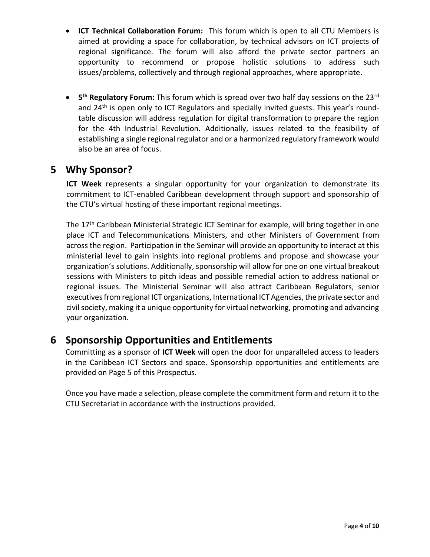- **ICT Technical Collaboration Forum:** This forum which is open to all CTU Members is aimed at providing a space for collaboration, by technical advisors on ICT projects of regional significance. The forum will also afford the private sector partners an opportunity to recommend or propose holistic solutions to address such issues/problems, collectively and through regional approaches, where appropriate.
- **5** 5<sup>th</sup> **Regulatory Forum:** This forum which is spread over two half day sessions on the 23<sup>rd</sup> and 24<sup>th</sup> is open only to ICT Regulators and specially invited guests. This year's roundtable discussion will address regulation for digital transformation to prepare the region for the 4th Industrial Revolution. Additionally, issues related to the feasibility of establishing a single regional regulator and or a harmonized regulatory framework would also be an area of focus.

### **5 Why Sponsor?**

**ICT Week** represents a singular opportunity for your organization to demonstrate its commitment to ICT-enabled Caribbean development through support and sponsorship of the CTU's virtual hosting of these important regional meetings.

The 17<sup>th</sup> Caribbean Ministerial Strategic ICT Seminar for example, will bring together in one place ICT and Telecommunications Ministers, and other Ministers of Government from across the region. Participation in the Seminar will provide an opportunity to interact at this ministerial level to gain insights into regional problems and propose and showcase your organization's solutions. Additionally, sponsorship will allow for one on one virtual breakout sessions with Ministers to pitch ideas and possible remedial action to address national or regional issues. The Ministerial Seminar will also attract Caribbean Regulators, senior executives from regional ICT organizations, International ICT Agencies, the private sector and civil society, making it a unique opportunity for virtual networking, promoting and advancing your organization.

## **6 Sponsorship Opportunities and Entitlements**

Committing as a sponsor of **ICT Week** will open the door for unparalleled access to leaders in the Caribbean ICT Sectors and space. Sponsorship opportunities and entitlements are provided on Page 5 of this Prospectus.

Once you have made a selection, please complete the commitment form and return it to the CTU Secretariat in accordance with the instructions provided.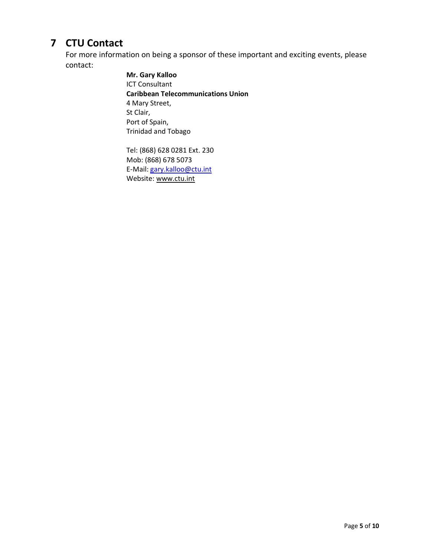## **7 CTU Contact**

For more information on being a sponsor of these important and exciting events, please contact:

> **Mr. Gary Kalloo** ICT Consultant **Caribbean Telecommunications Union** 4 Mary Street, St Clair, Port of Spain, Trinidad and Tobago

Tel: (868) 628 0281 Ext. 230 Mob: (868) 678 5073 E-Mail: [gary.kalloo@ctu.int](mailto:sonja.johnson@ctu.int) Website: [www.ctu.int](http://www.ctu.int/)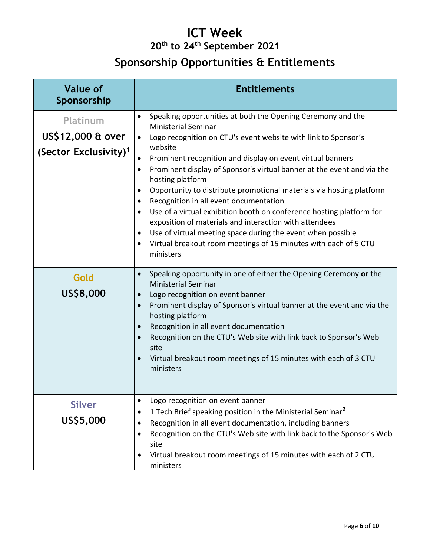## **ICT Week 20 th to 24th September 2021**

## **Sponsorship Opportunities & Entitlements**

| <b>Value of</b><br>Sponsorship                                     | <b>Entitlements</b>                                                                                                                                                                                                                                                                                                                                                                                                                                                                                                                                                                                                                                                                                                                                                                                    |  |
|--------------------------------------------------------------------|--------------------------------------------------------------------------------------------------------------------------------------------------------------------------------------------------------------------------------------------------------------------------------------------------------------------------------------------------------------------------------------------------------------------------------------------------------------------------------------------------------------------------------------------------------------------------------------------------------------------------------------------------------------------------------------------------------------------------------------------------------------------------------------------------------|--|
| Platinum<br>US\$12,000 & over<br>(Sector Exclusivity) <sup>1</sup> | Speaking opportunities at both the Opening Ceremony and the<br>$\bullet$<br><b>Ministerial Seminar</b><br>Logo recognition on CTU's event website with link to Sponsor's<br>$\bullet$<br>website<br>Prominent recognition and display on event virtual banners<br>Prominent display of Sponsor's virtual banner at the event and via the<br>$\bullet$<br>hosting platform<br>Opportunity to distribute promotional materials via hosting platform<br>Recognition in all event documentation<br>$\bullet$<br>Use of a virtual exhibition booth on conference hosting platform for<br>exposition of materials and interaction with attendees<br>Use of virtual meeting space during the event when possible<br>Virtual breakout room meetings of 15 minutes with each of 5 CTU<br>$\bullet$<br>ministers |  |
| Gold<br>US\$8,000                                                  | Speaking opportunity in one of either the Opening Ceremony or the<br>$\bullet$<br><b>Ministerial Seminar</b><br>Logo recognition on event banner<br>$\bullet$<br>Prominent display of Sponsor's virtual banner at the event and via the<br>$\bullet$<br>hosting platform<br>Recognition in all event documentation<br>Recognition on the CTU's Web site with link back to Sponsor's Web<br>site<br>Virtual breakout room meetings of 15 minutes with each of 3 CTU<br>ministers                                                                                                                                                                                                                                                                                                                        |  |
| <b>Silver</b><br>US\$5,000                                         | Logo recognition on event banner<br>$\bullet$<br>1 Tech Brief speaking position in the Ministerial Seminar <sup>2</sup><br>Recognition in all event documentation, including banners<br>Recognition on the CTU's Web site with link back to the Sponsor's Web<br>site<br>Virtual breakout room meetings of 15 minutes with each of 2 CTU<br>ministers                                                                                                                                                                                                                                                                                                                                                                                                                                                  |  |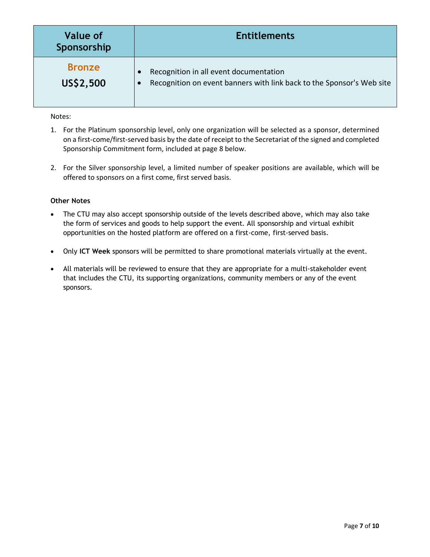| Value of<br>Sponsorship | <b>Entitlements</b>                                                   |
|-------------------------|-----------------------------------------------------------------------|
| <b>Bronze</b>           | Recognition in all event documentation                                |
| US\$2,500               | Recognition on event banners with link back to the Sponsor's Web site |

#### Notes:

- 1. For the Platinum sponsorship level, only one organization will be selected as a sponsor, determined on a first-come/first-served basis by the date of receipt to the Secretariat of the signed and completed Sponsorship Commitment form, included at page 8 below.
- 2. For the Silver sponsorship level, a limited number of speaker positions are available, which will be offered to sponsors on a first come, first served basis.

#### **Other Notes**

- The CTU may also accept sponsorship outside of the levels described above, which may also take the form of services and goods to help support the event. All sponsorship and virtual exhibit opportunities on the hosted platform are offered on a first-come, first-served basis.
- Only **ICT Week** sponsors will be permitted to share promotional materials virtually at the event.
- All materials will be reviewed to ensure that they are appropriate for a multi-stakeholder event that includes the CTU, its supporting organizations, community members or any of the event sponsors.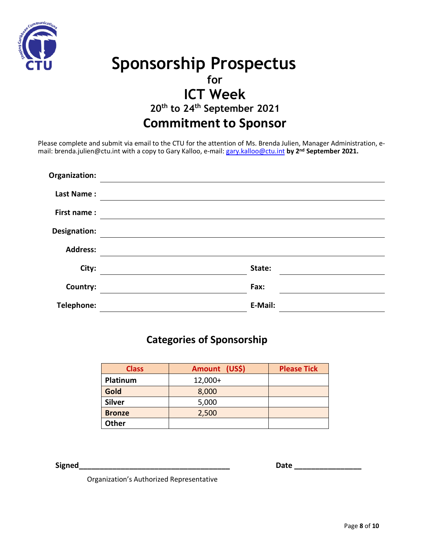

## **Sponsorship Prospectus for ICT Week 20 th to 24th September 2021 Commitment to Sponsor**

Please complete and submit via email to the CTU for the attention of Ms. Brenda Julien, Manager Administration, email: brenda.julien@ctu.int with a copy to Gary Kalloo, e-mail: [gary.kalloo@ctu.int](mailto:gary.kalloo@ctu.int) **by 2 nd September 2021.**

| Organization:     |         |
|-------------------|---------|
| <b>Last Name:</b> |         |
| First name:       |         |
| Designation:      |         |
| <b>Address:</b>   |         |
| City:             | State:  |
| Country:          | Fax:    |
| Telephone:        | E-Mail: |

## **Categories of Sponsorship**

| <b>Class</b>  | Amount (US\$) | <b>Please Tick</b> |
|---------------|---------------|--------------------|
| Platinum      | $12,000+$     |                    |
| Gold          | 8,000         |                    |
| <b>Silver</b> | 5,000         |                    |
| <b>Bronze</b> | 2,500         |                    |
| <b>Other</b>  |               |                    |

**Signed Signed** 

Organization's Authorized Representative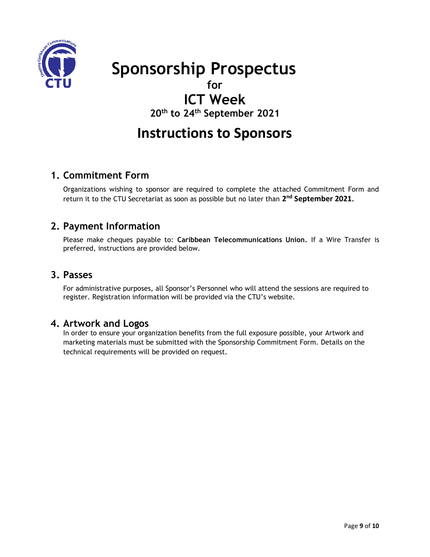

 **Sponsorship Prospectus**

## **for**

**ICT Week** 

**20th to 24th September 2021**

## **Instructions to Sponsors**

### **1. Commitment Form**

Organizations wishing to sponsor are required to complete the attached Commitment Form and return it to the CTU Secretariat as soon as possible but no later than **2 nd September 2021.**

### **2. Payment Information**

Please make cheques payable to: **Caribbean Telecommunications Union.** If a Wire Transfer is preferred, instructions are provided below.

### **3. Passes**

For administrative purposes, all Sponsor's Personnel who will attend the sessions are required to register. Registration information will be provided via the CTU's website.

### **4. Artwork and Logos**

In order to ensure your organization benefits from the full exposure possible, your Artwork and marketing materials must be submitted with the Sponsorship Commitment Form. Details on the technical requirements will be provided on request.